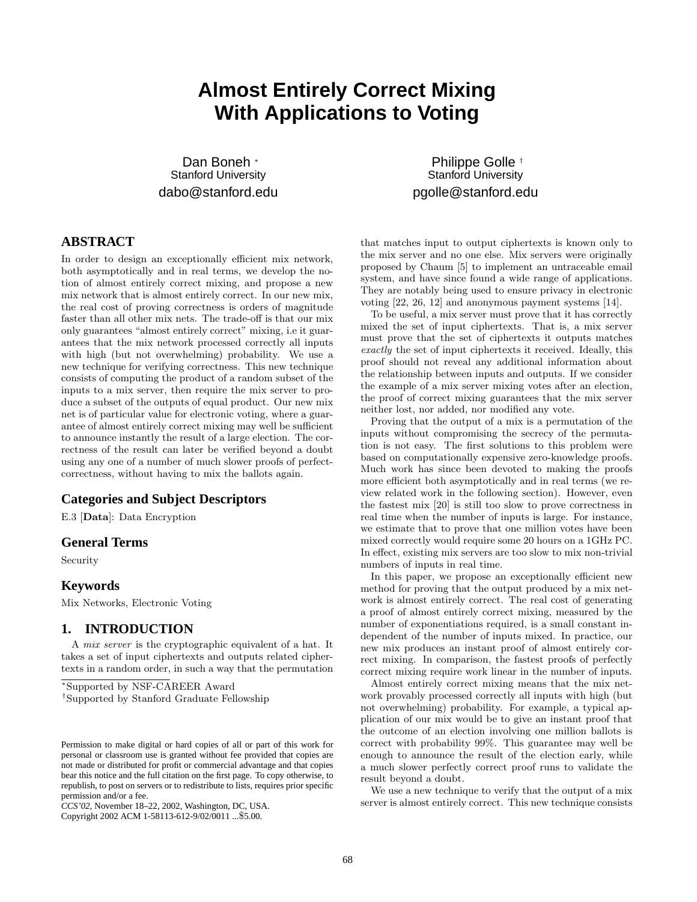# **Almost Entirely Correct Mixing With Applications to Voting**

Dan Boneh <sup>∗</sup> Stanford University dabo@stanford.edu

Philippe Golle † Stanford University pgolle@stanford.edu

# **ABSTRACT**

In order to design an exceptionally efficient mix network, both asymptotically and in real terms, we develop the notion of almost entirely correct mixing, and propose a new mix network that is almost entirely correct. In our new mix, the real cost of proving correctness is orders of magnitude faster than all other mix nets. The trade-off is that our mix only guarantees "almost entirely correct" mixing, i.e it guarantees that the mix network processed correctly all inputs with high (but not overwhelming) probability. We use a new technique for verifying correctness. This new technique consists of computing the product of a random subset of the inputs to a mix server, then require the mix server to produce a subset of the outputs of equal product. Our new mix net is of particular value for electronic voting, where a guarantee of almost entirely correct mixing may well be sufficient to announce instantly the result of a large election. The correctness of the result can later be verified beyond a doubt using any one of a number of much slower proofs of perfectcorrectness, without having to mix the ballots again.

## **Categories and Subject Descriptors**

E.3 [Data]: Data Encryption

## **General Terms**

Security

## **Keywords**

Mix Networks, Electronic Voting

## **1. INTRODUCTION**

A mix server is the cryptographic equivalent of a hat. It takes a set of input ciphertexts and outputs related ciphertexts in a random order, in such a way that the permutation

<sup>∗</sup>Supported by NSF-CAREER Award

*CCS'02,* November 18–22, 2002, Washington, DC, USA.

Copyright 2002 ACM 1-58113-612-9/02/0011 ...\$5.00.

that matches input to output ciphertexts is known only to the mix server and no one else. Mix servers were originally proposed by Chaum [5] to implement an untraceable email system, and have since found a wide range of applications. They are notably being used to ensure privacy in electronic voting [22, 26, 12] and anonymous payment systems [14].

To be useful, a mix server must prove that it has correctly mixed the set of input ciphertexts. That is, a mix server must prove that the set of ciphertexts it outputs matches exactly the set of input ciphertexts it received. Ideally, this proof should not reveal any additional information about the relationship between inputs and outputs. If we consider the example of a mix server mixing votes after an election, the proof of correct mixing guarantees that the mix server neither lost, nor added, nor modified any vote.

Proving that the output of a mix is a permutation of the inputs without compromising the secrecy of the permutation is not easy. The first solutions to this problem were based on computationally expensive zero-knowledge proofs. Much work has since been devoted to making the proofs more efficient both asymptotically and in real terms (we review related work in the following section). However, even the fastest mix [20] is still too slow to prove correctness in real time when the number of inputs is large. For instance, we estimate that to prove that one million votes have been mixed correctly would require some 20 hours on a 1GHz PC. In effect, existing mix servers are too slow to mix non-trivial numbers of inputs in real time.

In this paper, we propose an exceptionally efficient new method for proving that the output produced by a mix network is almost entirely correct. The real cost of generating a proof of almost entirely correct mixing, measured by the number of exponentiations required, is a small constant independent of the number of inputs mixed. In practice, our new mix produces an instant proof of almost entirely correct mixing. In comparison, the fastest proofs of perfectly correct mixing require work linear in the number of inputs.

Almost entirely correct mixing means that the mix network provably processed correctly all inputs with high (but not overwhelming) probability. For example, a typical application of our mix would be to give an instant proof that the outcome of an election involving one million ballots is correct with probability 99%. This guarantee may well be enough to announce the result of the election early, while a much slower perfectly correct proof runs to validate the result beyond a doubt.

We use a new technique to verify that the output of a mix server is almost entirely correct. This new technique consists

<sup>†</sup>Supported by Stanford Graduate Fellowship

Permission to make digital or hard copies of all or part of this work for personal or classroom use is granted without fee provided that copies are not made or distributed for profit or commercial advantage and that copies bear this notice and the full citation on the first page. To copy otherwise, to republish, to post on servers or to redistribute to lists, requires prior specific permission and/or a fee.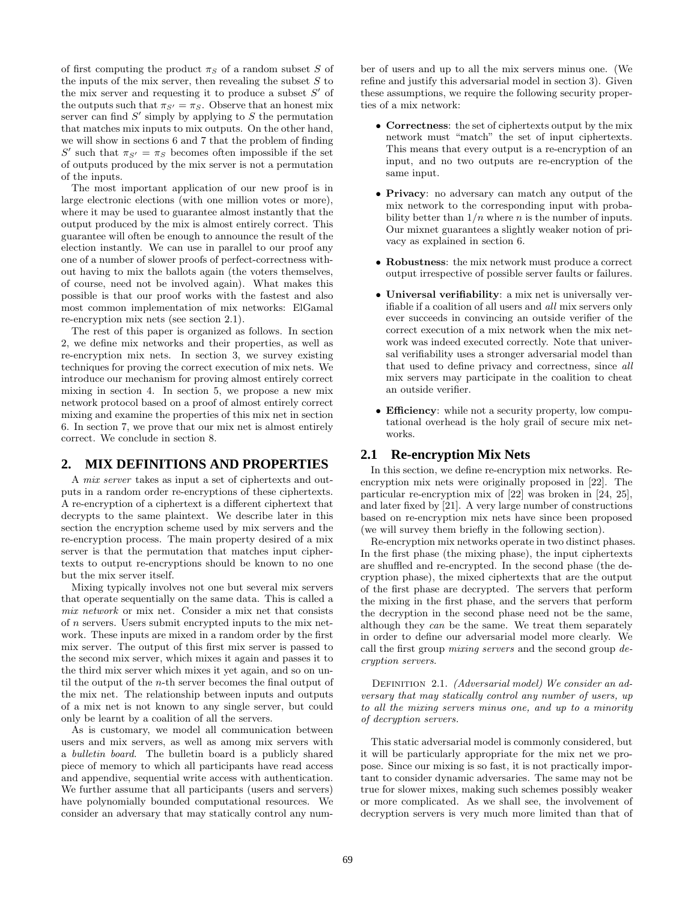of first computing the product  $\pi_S$  of a random subset S of the inputs of the mix server, then revealing the subset  $S$  to the mix server and requesting it to produce a subset  $S'$  of the outputs such that  $\pi_{S'} = \pi_S$ . Observe that an honest mix server can find  $S'$  simply by applying to S the permutation that matches mix inputs to mix outputs. On the other hand, we will show in sections 6 and 7 that the problem of finding S' such that  $\pi_{S'} = \pi_S$  becomes often impossible if the set of outputs produced by the mix server is not a permutation of the inputs.

The most important application of our new proof is in large electronic elections (with one million votes or more), where it may be used to guarantee almost instantly that the output produced by the mix is almost entirely correct. This guarantee will often be enough to announce the result of the election instantly. We can use in parallel to our proof any one of a number of slower proofs of perfect-correctness without having to mix the ballots again (the voters themselves, of course, need not be involved again). What makes this possible is that our proof works with the fastest and also most common implementation of mix networks: ElGamal re-encryption mix nets (see section 2.1).

The rest of this paper is organized as follows. In section 2, we define mix networks and their properties, as well as re-encryption mix nets. In section 3, we survey existing techniques for proving the correct execution of mix nets. We introduce our mechanism for proving almost entirely correct mixing in section 4. In section 5, we propose a new mix network protocol based on a proof of almost entirely correct mixing and examine the properties of this mix net in section 6. In section 7, we prove that our mix net is almost entirely correct. We conclude in section 8.

## **2. MIX DEFINITIONS AND PROPERTIES**

A mix server takes as input a set of ciphertexts and outputs in a random order re-encryptions of these ciphertexts. A re-encryption of a ciphertext is a different ciphertext that decrypts to the same plaintext. We describe later in this section the encryption scheme used by mix servers and the re-encryption process. The main property desired of a mix server is that the permutation that matches input ciphertexts to output re-encryptions should be known to no one but the mix server itself.

Mixing typically involves not one but several mix servers that operate sequentially on the same data. This is called a mix network or mix net. Consider a mix net that consists of n servers. Users submit encrypted inputs to the mix network. These inputs are mixed in a random order by the first mix server. The output of this first mix server is passed to the second mix server, which mixes it again and passes it to the third mix server which mixes it yet again, and so on until the output of the  $n$ -th server becomes the final output of the mix net. The relationship between inputs and outputs of a mix net is not known to any single server, but could only be learnt by a coalition of all the servers.

As is customary, we model all communication between users and mix servers, as well as among mix servers with a bulletin board. The bulletin board is a publicly shared piece of memory to which all participants have read access and appendive, sequential write access with authentication. We further assume that all participants (users and servers) have polynomially bounded computational resources. We consider an adversary that may statically control any number of users and up to all the mix servers minus one. (We refine and justify this adversarial model in section 3). Given these assumptions, we require the following security properties of a mix network:

- Correctness: the set of ciphertexts output by the mix network must "match" the set of input ciphertexts. This means that every output is a re-encryption of an input, and no two outputs are re-encryption of the same input.
- Privacy: no adversary can match any output of the mix network to the corresponding input with probability better than  $1/n$  where n is the number of inputs. Our mixnet guarantees a slightly weaker notion of privacy as explained in section 6.
- Robustness: the mix network must produce a correct output irrespective of possible server faults or failures.
- Universal verifiability: a mix net is universally verifiable if a coalition of all users and all mix servers only ever succeeds in convincing an outside verifier of the correct execution of a mix network when the mix network was indeed executed correctly. Note that universal verifiability uses a stronger adversarial model than that used to define privacy and correctness, since all mix servers may participate in the coalition to cheat an outside verifier.
- Efficiency: while not a security property, low computational overhead is the holy grail of secure mix networks.

## **2.1 Re-encryption Mix Nets**

In this section, we define re-encryption mix networks. Reencryption mix nets were originally proposed in [22]. The particular re-encryption mix of [22] was broken in [24, 25], and later fixed by [21]. A very large number of constructions based on re-encryption mix nets have since been proposed (we will survey them briefly in the following section).

Re-encryption mix networks operate in two distinct phases. In the first phase (the mixing phase), the input ciphertexts are shuffled and re-encrypted. In the second phase (the decryption phase), the mixed ciphertexts that are the output of the first phase are decrypted. The servers that perform the mixing in the first phase, and the servers that perform the decryption in the second phase need not be the same, although they can be the same. We treat them separately in order to define our adversarial model more clearly. We call the first group mixing servers and the second group decryption servers.

DEFINITION 2.1. (Adversarial model) We consider an adversary that may statically control any number of users, up to all the mixing servers minus one, and up to a minority of decryption servers.

This static adversarial model is commonly considered, but it will be particularly appropriate for the mix net we propose. Since our mixing is so fast, it is not practically important to consider dynamic adversaries. The same may not be true for slower mixes, making such schemes possibly weaker or more complicated. As we shall see, the involvement of decryption servers is very much more limited than that of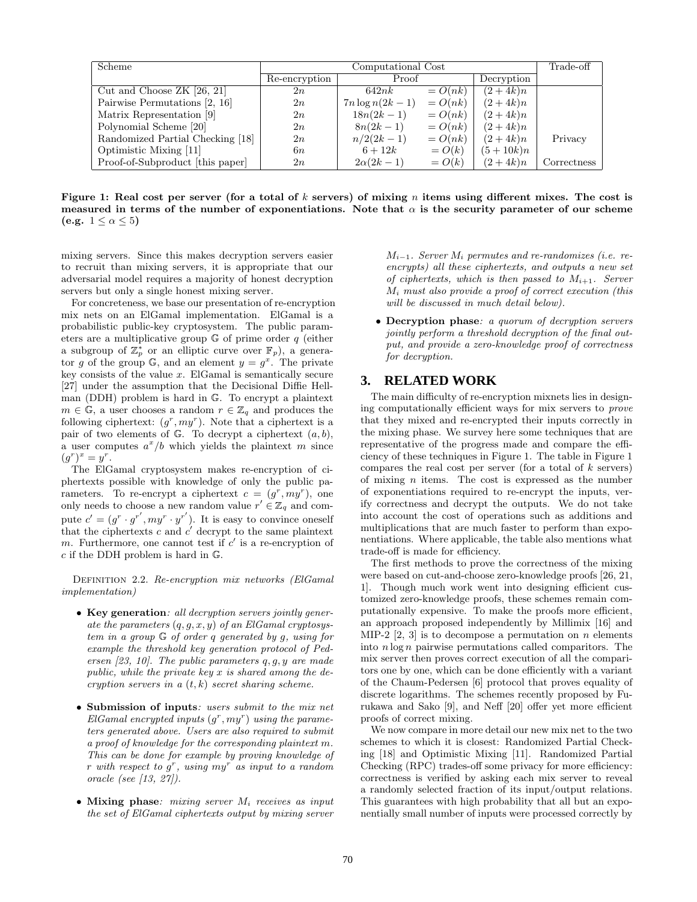| Scheme                           | Computational Cost |                  |           |            | Trade-off   |
|----------------------------------|--------------------|------------------|-----------|------------|-------------|
|                                  | Re-encryption      | Proof            |           | Decryption |             |
| Cut and Choose $ZK$ [26, 21]     | 2n                 | 642nk            | $= O(nk)$ | $(2+4k)n$  |             |
| Pairwise Permutations [2, 16]    | 2n                 | $7n\log n(2k-1)$ | $= O(nk)$ | $(2+4k)n$  |             |
| Matrix Representation [9]        | 2n                 | $18n(2k-1)$      | $= O(nk)$ | $(2+4k)n$  |             |
| Polynomial Scheme [20]           | 2n                 | $8n(2k-1)$       | $= O(nk)$ | $(2+4k)n$  |             |
| Randomized Partial Checking [18] | 2n                 | $n/2(2k-1)$      | $= O(nk)$ | $(2+4k)n$  | Privacy     |
| Optimistic Mixing [11]           | <i>6n</i>          | $6+12k$          | $= O(k)$  | $(5+10k)n$ |             |
| Proof-of-Subproduct [this paper] | 2n                 | $2\alpha(2k-1)$  | $= O(k)$  | $(2+4k)n$  | Correctness |

Figure 1: Real cost per server (for a total of  $k$  servers) of mixing  $n$  items using different mixes. The cost is measured in terms of the number of exponentiations. Note that  $\alpha$  is the security parameter of our scheme (e.g.  $1 \leq \alpha \leq 5$ )

mixing servers. Since this makes decryption servers easier to recruit than mixing servers, it is appropriate that our adversarial model requires a majority of honest decryption servers but only a single honest mixing server.

For concreteness, we base our presentation of re-encryption mix nets on an ElGamal implementation. ElGamal is a probabilistic public-key cryptosystem. The public parameters are a multiplicative group  $\mathbb G$  of prime order  $q$  (either a subgroup of  $\mathbb{Z}_p^*$  or an elliptic curve over  $\mathbb{F}_p$ ), a generator g of the group  $\mathbb{G}$ , and an element  $y = g^x$ . The private key consists of the value  $x$ . ElGamal is semantically secure [27] under the assumption that the Decisional Diffie Hellman (DDH) problem is hard in G. To encrypt a plaintext  $m \in \mathbb{G}$ , a user chooses a random  $r \in \mathbb{Z}_q$  and produces the following ciphertext:  $(g^r, my^r)$ . Note that a ciphertext is a pair of two elements of  $\mathbb{G}$ . To decrypt a ciphertext  $(a, b)$ , a user computes  $a^x/b$  which yields the plaintext m since  $(g<sup>r</sup>)<sup>x</sup> = y<sup>r</sup>$ .

The ElGamal cryptosystem makes re-encryption of ciphertexts possible with knowledge of only the public parameters. To re-encrypt a ciphertext  $c = (g^r, my^r)$ , one only needs to choose a new random value  $r' \in \mathbb{Z}_q$  and compute  $c' = (g^r \cdot g^{r'}, my^r \cdot y^{r'})$ . It is easy to convince oneself that the ciphertexts  $c$  and  $c'$  decrypt to the same plaintext m. Furthermore, one cannot test if  $c'$  is a re-encryption of  $c$  if the DDH problem is hard in  $\mathbb{G}$ .

DEFINITION 2.2. Re-encryption mix networks (ElGamal implementation)

- Key generation: all decryption servers jointly generate the parameters  $(q, q, x, y)$  of an ElGamal cryptosystem in a group G of order q generated by g, using for example the threshold key generation protocol of Pedersen  $[23, 10]$ . The public parameters  $q, g, y$  are made public, while the private key x is shared among the decryption servers in a  $(t, k)$  secret sharing scheme.
- Submission of inputs: users submit to the mix net  $ElGamal$  encrypted inputs  $(g^r, my^r)$  using the parameters generated above. Users are also required to submit a proof of knowledge for the corresponding plaintext m. This can be done for example by proving knowledge of r with respect to  $g^r$ , using  $my^r$  as input to a random oracle (see [13, 27]).
- Mixing phase: mixing server  $M_i$  receives as input the set of ElGamal ciphertexts output by mixing server

 $M_{i-1}$ . Server  $M_i$  permutes and re-randomizes (i.e. reencrypts) all these ciphertexts, and outputs a new set of ciphertexts, which is then passed to  $M_{i+1}$ . Server  $M_i$  must also provide a proof of correct execution (this will be discussed in much detail below).

• Decryption phase: a quorum of decryption servers jointly perform a threshold decryption of the final output, and provide a zero-knowledge proof of correctness for decryption.

## **3. RELATED WORK**

The main difficulty of re-encryption mixnets lies in designing computationally efficient ways for mix servers to prove that they mixed and re-encrypted their inputs correctly in the mixing phase. We survey here some techniques that are representative of the progress made and compare the efficiency of these techniques in Figure 1. The table in Figure 1 compares the real cost per server (for a total of  $k$  servers) of mixing  $n$  items. The cost is expressed as the number of exponentiations required to re-encrypt the inputs, verify correctness and decrypt the outputs. We do not take into account the cost of operations such as additions and multiplications that are much faster to perform than exponentiations. Where applicable, the table also mentions what trade-off is made for efficiency.

The first methods to prove the correctness of the mixing were based on cut-and-choose zero-knowledge proofs [26, 21, 1]. Though much work went into designing efficient customized zero-knowledge proofs, these schemes remain computationally expensive. To make the proofs more efficient, an approach proposed independently by Millimix [16] and MIP-2  $[2, 3]$  is to decompose a permutation on n elements into  $n \log n$  pairwise permutations called comparitors. The mix server then proves correct execution of all the comparitors one by one, which can be done efficiently with a variant of the Chaum-Pedersen [6] protocol that proves equality of discrete logarithms. The schemes recently proposed by Furukawa and Sako [9], and Neff [20] offer yet more efficient proofs of correct mixing.

We now compare in more detail our new mix net to the two schemes to which it is closest: Randomized Partial Checking [18] and Optimistic Mixing [11]. Randomized Partial Checking (RPC) trades-off some privacy for more efficiency: correctness is verified by asking each mix server to reveal a randomly selected fraction of its input/output relations. This guarantees with high probability that all but an exponentially small number of inputs were processed correctly by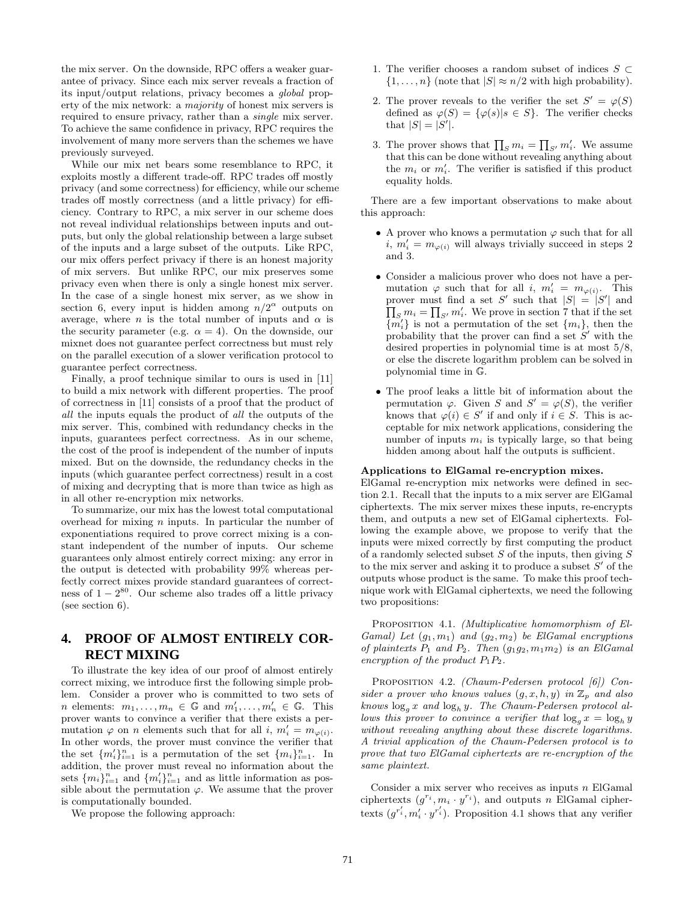the mix server. On the downside, RPC offers a weaker guarantee of privacy. Since each mix server reveals a fraction of its input/output relations, privacy becomes a global property of the mix network: a majority of honest mix servers is required to ensure privacy, rather than a single mix server. To achieve the same confidence in privacy, RPC requires the involvement of many more servers than the schemes we have previously surveyed.

While our mix net bears some resemblance to RPC, it exploits mostly a different trade-off. RPC trades off mostly privacy (and some correctness) for efficiency, while our scheme trades off mostly correctness (and a little privacy) for efficiency. Contrary to RPC, a mix server in our scheme does not reveal individual relationships between inputs and outputs, but only the global relationship between a large subset of the inputs and a large subset of the outputs. Like RPC, our mix offers perfect privacy if there is an honest majority of mix servers. But unlike RPC, our mix preserves some privacy even when there is only a single honest mix server. In the case of a single honest mix server, as we show in section 6, every input is hidden among  $n/2^{\alpha}$  outputs on average, where n is the total number of inputs and  $\alpha$  is the security parameter (e.g.  $\alpha = 4$ ). On the downside, our mixnet does not guarantee perfect correctness but must rely on the parallel execution of a slower verification protocol to guarantee perfect correctness.

Finally, a proof technique similar to ours is used in [11] to build a mix network with different properties. The proof of correctness in [11] consists of a proof that the product of all the inputs equals the product of all the outputs of the mix server. This, combined with redundancy checks in the inputs, guarantees perfect correctness. As in our scheme, the cost of the proof is independent of the number of inputs mixed. But on the downside, the redundancy checks in the inputs (which guarantee perfect correctness) result in a cost of mixing and decrypting that is more than twice as high as in all other re-encryption mix networks.

To summarize, our mix has the lowest total computational overhead for mixing  $n$  inputs. In particular the number of exponentiations required to prove correct mixing is a constant independent of the number of inputs. Our scheme guarantees only almost entirely correct mixing: any error in the output is detected with probability 99% whereas perfectly correct mixes provide standard guarantees of correctness of  $1 - 2^{80}$ . Our scheme also trades off a little privacy (see section 6).

# **4. PROOF OF ALMOST ENTIRELY COR-RECT MIXING**

To illustrate the key idea of our proof of almost entirely correct mixing, we introduce first the following simple problem. Consider a prover who is committed to two sets of *n* elements:  $m_1, \ldots, m_n \in \mathbb{G}$  and  $m'_1, \ldots, m'_n \in \mathbb{G}$ . This prover wants to convince a verifier that there exists a permutation  $\varphi$  on *n* elements such that for all *i*,  $m'_i = m_{\varphi(i)}$ . In other words, the prover must convince the verifier that the set  $\{m_i'\}_{i=1}^n$  is a permutation of the set  $\{m_i\}_{i=1}^n$ . In addition, the prover must reveal no information about the sets  $\{m_i\}_{i=1}^n$  and  $\{m_i'\}_{i=1}^n$  and as little information as possible about the permutation  $\varphi$ . We assume that the prover is computationally bounded.

We propose the following approach:

- 1. The verifier chooses a random subset of indices  $S \subset$  $\{1, \ldots, n\}$  (note that  $|S| \approx n/2$  with high probability).
- 2. The prover reveals to the verifier the set  $S' = \varphi(S)$ defined as  $\varphi(S) = {\varphi(s)|s \in S}.$  The verifier checks that  $|S| = |S'|$ .
- 3. The prover shows that  $\prod_{S} m_i = \prod_{S'} m'_i$ . We assume that this can be done without revealing anything about the  $m_i$  or  $m'_i$ . The verifier is satisfied if this product equality holds.

There are a few important observations to make about this approach:

- A prover who knows a permutation  $\varphi$  such that for all  $i, m'_i = m_{\varphi(i)}$  will always trivially succeed in steps 2 and 3.
- Consider a malicious prover who does not have a permutation  $\varphi$  such that for all i,  $m'_i = m_{\varphi(i)}$ . This prover must find a set S' such that  $|S| = |S'|$  and  $\prod_{S} m_i = \prod_{S'} m'_i$ . We prove in section 7 that if the set  $\{\widetilde{m'_i}\}\$ is not a permutation of the set  $\{m_i\}$ , then the probability that the prover can find a set  $S'$  with the desired properties in polynomial time is at most 5/8, or else the discrete logarithm problem can be solved in polynomial time in G.
- The proof leaks a little bit of information about the permutation  $\varphi$ . Given S and  $S' = \varphi(S)$ , the verifier knows that  $\varphi(i) \in S'$  if and only if  $i \in S$ . This is acceptable for mix network applications, considering the number of inputs  $m_i$  is typically large, so that being hidden among about half the outputs is sufficient.

#### Applications to ElGamal re-encryption mixes.

ElGamal re-encryption mix networks were defined in section 2.1. Recall that the inputs to a mix server are ElGamal ciphertexts. The mix server mixes these inputs, re-encrypts them, and outputs a new set of ElGamal ciphertexts. Following the example above, we propose to verify that the inputs were mixed correctly by first computing the product of a randomly selected subset  $S$  of the inputs, then giving  $S$ to the mix server and asking it to produce a subset  $S'$  of the outputs whose product is the same. To make this proof technique work with ElGamal ciphertexts, we need the following two propositions:

PROPOSITION 4.1. *(Multiplicative homomorphism of El-*Gamal) Let  $(g_1, m_1)$  and  $(g_2, m_2)$  be ElGamal encryptions of plaintexts  $P_1$  and  $P_2$ . Then  $(g_1g_2, m_1m_2)$  is an ElGamal encryption of the product  $P_1P_2$ .

PROPOSITION 4.2. (Chaum-Pedersen protocol [6]) Consider a prover who knows values  $(g, x, h, y)$  in  $\mathbb{Z}_p$  and also knows  $\log_a x$  and  $\log_b y$ . The Chaum-Pedersen protocol allows this prover to convince a verifier that  $\log_a x = \log_h y$ without revealing anything about these discrete logarithms. A trivial application of the Chaum-Pedersen protocol is to prove that two ElGamal ciphertexts are re-encryption of the same plaintext.

Consider a mix server who receives as inputs  $n$  ElGamal ciphertexts  $(g^{r_i}, m_i \cdot y^{r_i})$ , and outputs n ElGamal ciphertexts  $(g^{r'_i}, m'_i \cdot y^{r'_i})$ . Proposition 4.1 shows that any verifier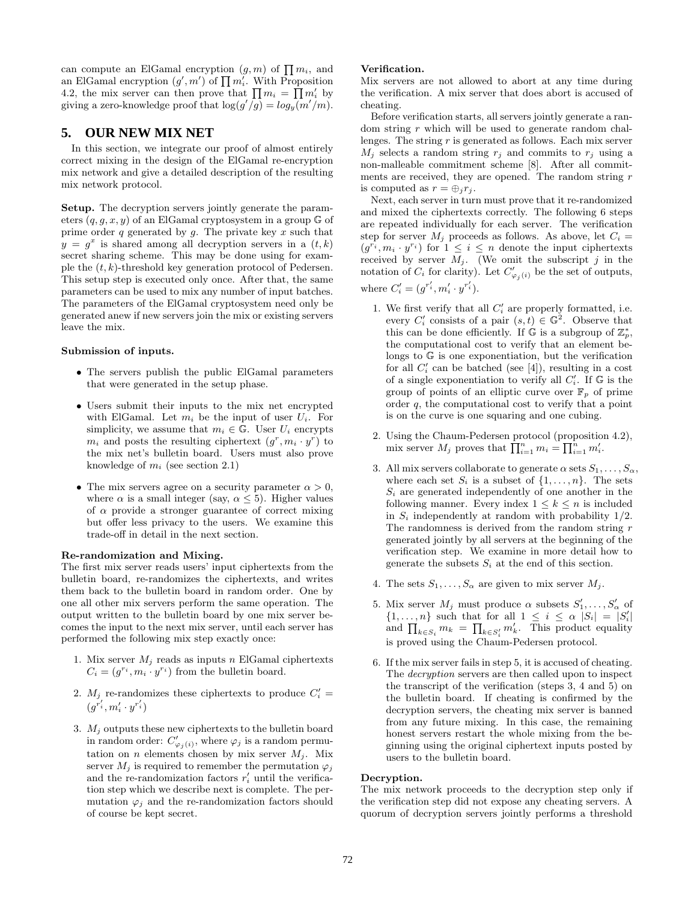can compute an ElGamal encryption  $(g, m)$  of  $\prod m_i$ , and an ElGamal encryption  $(g', m')$  of  $\prod m'_i$ . With Proposition 4.2, the mix server can then prove that  $\prod m_i = \prod m'_i$  by giving a zero-knowledge proof that  $\log(g'/\overline{g}) = \log_{g}(m'/m)$ .

## **5. OUR NEW MIX NET**

In this section, we integrate our proof of almost entirely correct mixing in the design of the ElGamal re-encryption mix network and give a detailed description of the resulting mix network protocol.

Setup. The decryption servers jointly generate the parameters  $(q, q, x, y)$  of an ElGamal cryptosystem in a group G of prime order  $q$  generated by  $q$ . The private key  $x$  such that  $y = g^x$  is shared among all decryption servers in a  $(t, k)$ secret sharing scheme. This may be done using for example the  $(t, k)$ -threshold key generation protocol of Pedersen. This setup step is executed only once. After that, the same parameters can be used to mix any number of input batches. The parameters of the ElGamal cryptosystem need only be generated anew if new servers join the mix or existing servers leave the mix.

#### Submission of inputs.

- The servers publish the public ElGamal parameters that were generated in the setup phase.
- Users submit their inputs to the mix net encrypted with ElGamal. Let  $m_i$  be the input of user  $U_i$ . For simplicity, we assume that  $m_i \in \mathbb{G}$ . User  $U_i$  encrypts  $m_i$  and posts the resulting ciphertext  $(g^r, m_i \cdot y^r)$  to the mix net's bulletin board. Users must also prove knowledge of  $m_i$  (see section 2.1)
- The mix servers agree on a security parameter  $\alpha > 0$ , where  $\alpha$  is a small integer (say,  $\alpha \leq 5$ ). Higher values of  $\alpha$  provide a stronger guarantee of correct mixing but offer less privacy to the users. We examine this trade-off in detail in the next section.

#### Re-randomization and Mixing.

The first mix server reads users' input ciphertexts from the bulletin board, re-randomizes the ciphertexts, and writes them back to the bulletin board in random order. One by one all other mix servers perform the same operation. The output written to the bulletin board by one mix server becomes the input to the next mix server, until each server has performed the following mix step exactly once:

- 1. Mix server  $M_i$  reads as inputs n ElGamal ciphertexts  $C_i = (g^{r_i}, m_i \cdot y^{r_i})$  from the bulletin board.
- 2.  $M_j$  re-randomizes these ciphertexts to produce  $C_i'$  $(g^{r'_i}, m'_i \cdot y^{r'_i})$
- 3.  $M_j$  outputs these new ciphertexts to the bulletin board in random order:  $C'_{\varphi_j(i)}$ , where  $\varphi_j$  is a random permutation on *n* elements chosen by mix server  $M_i$ . Mix server  $M_i$  is required to remember the permutation  $\varphi_i$ and the re-randomization factors  $r'_i$  until the verification step which we describe next is complete. The permutation  $\varphi_j$  and the re-randomization factors should of course be kept secret.

#### Verification.

Mix servers are not allowed to abort at any time during the verification. A mix server that does abort is accused of cheating.

Before verification starts, all servers jointly generate a random string r which will be used to generate random challenges. The string r is generated as follows. Each mix server  $M_i$  selects a random string  $r_i$  and commits to  $r_i$  using a non-malleable commitment scheme [8]. After all commitments are received, they are opened. The random string r is computed as  $r = \bigoplus_j r_j$ .

Next, each server in turn must prove that it re-randomized and mixed the ciphertexts correctly. The following 6 steps are repeated individually for each server. The verification step for server  $M_j$  proceeds as follows. As above, let  $C_i =$  $(g^{r_i}, m_i \cdot y^{r_i})$  for  $1 \leq i \leq n$  denote the input ciphertexts received by server  $M_j$ . (We omit the subscript j in the notation of  $C_i$  for clarity). Let  $C'_{\varphi_j(i)}$  be the set of outputs, where  $C'_{i} = (g^{r'_{i}}, m'_{i} \cdot y^{r'_{i}})$ .

- 1. We first verify that all  $C_i'$  are properly formatted, i.e. every  $C_i'$  consists of a pair  $(s,t) \in \mathbb{G}^2$ . Observe that this can be done efficiently. If  $\mathbb G$  is a subgroup of  $\mathbb Z_p^*$ , the computational cost to verify that an element belongs to G is one exponentiation, but the verification for all  $C_i'$  can be batched (see [4]), resulting in a cost of a single exponentiation to verify all  $C_i'$ . If  $\mathbb G$  is the group of points of an elliptic curve over  $\mathbb{F}_p$  of prime order q, the computational cost to verify that a point is on the curve is one squaring and one cubing.
- 2. Using the Chaum-Pedersen protocol (proposition 4.2), mix server  $M_j$  proves that  $\prod_{i=1}^n m_i = \prod_{i=1}^n m'_i$ .
- 3. All mix servers collaborate to generate  $\alpha$  sets  $S_1, \ldots, S_\alpha$ , where each set  $S_i$  is a subset of  $\{1, \ldots, n\}$ . The sets  $S_i$  are generated independently of one another in the following manner. Every index  $1 \leq k \leq n$  is included in  $S_i$  independently at random with probability 1/2. The randomness is derived from the random string  $r$ generated jointly by all servers at the beginning of the verification step. We examine in more detail how to generate the subsets  $S_i$  at the end of this section.
- 4. The sets  $S_1, \ldots, S_\alpha$  are given to mix server  $M_i$ .
- 5. Mix server  $M_j$  must produce  $\alpha$  subsets  $S'_1, \ldots, S'_\alpha$  of  $\{1,\ldots,n\}$  such that for all  $1 \leq i \leq \alpha$   $|S_i| = |S'_i|$ and  $\prod_{k \in S_i} m_k = \prod_{k \in S_i'} m'_k$ . This product equality is proved using the Chaum-Pedersen protocol.
- 6. If the mix server fails in step 5, it is accused of cheating. The decryption servers are then called upon to inspect the transcript of the verification (steps 3, 4 and 5) on the bulletin board. If cheating is confirmed by the decryption servers, the cheating mix server is banned from any future mixing. In this case, the remaining honest servers restart the whole mixing from the beginning using the original ciphertext inputs posted by users to the bulletin board.

#### Decryption.

The mix network proceeds to the decryption step only if the verification step did not expose any cheating servers. A quorum of decryption servers jointly performs a threshold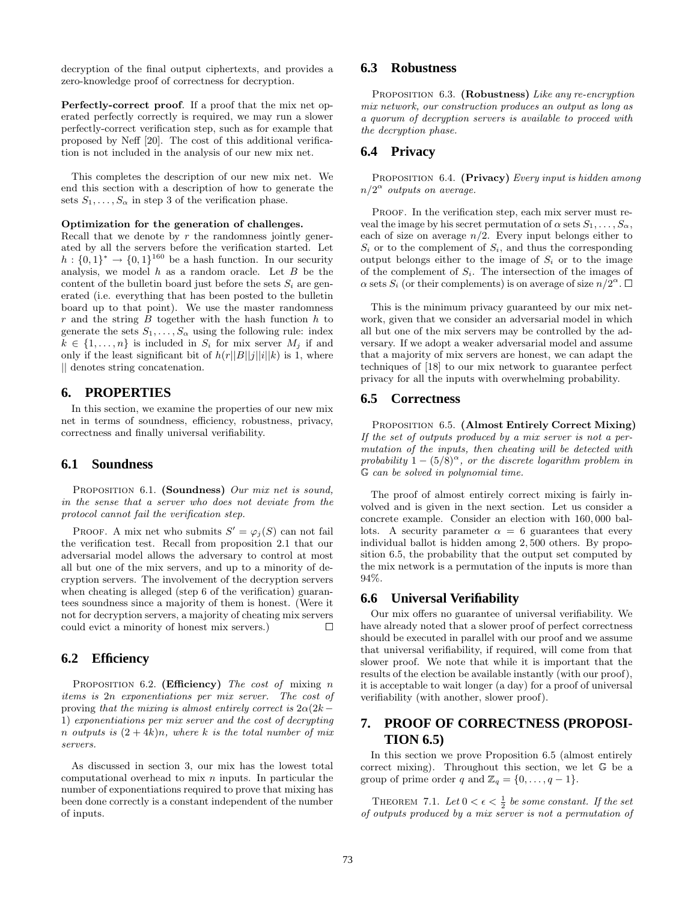decryption of the final output ciphertexts, and provides a zero-knowledge proof of correctness for decryption.

Perfectly-correct proof. If a proof that the mix net operated perfectly correctly is required, we may run a slower perfectly-correct verification step, such as for example that proposed by Neff [20]. The cost of this additional verification is not included in the analysis of our new mix net.

This completes the description of our new mix net. We end this section with a description of how to generate the sets  $S_1, \ldots, S_\alpha$  in step 3 of the verification phase.

#### Optimization for the generation of challenges.

Recall that we denote by  $r$  the randomness jointly generated by all the servers before the verification started. Let  $h: \{0,1\}^* \to \{0,1\}^{160}$  be a hash function. In our security analysis, we model  $h$  as a random oracle. Let  $B$  be the content of the bulletin board just before the sets  $S_i$  are generated (i.e. everything that has been posted to the bulletin board up to that point). We use the master randomness  $r$  and the string  $B$  together with the hash function  $h$  to generate the sets  $S_1, \ldots, S_\alpha$  using the following rule: index  $k \in \{1, \ldots, n\}$  is included in  $S_i$  for mix server  $M_j$  if and only if the least significant bit of  $h(r||B||j||i||k)$  is 1, where || denotes string concatenation.

## **6. PROPERTIES**

In this section, we examine the properties of our new mix net in terms of soundness, efficiency, robustness, privacy, correctness and finally universal verifiability.

## **6.1 Soundness**

PROPOSITION 6.1. (Soundness) Our mix net is sound, in the sense that a server who does not deviate from the protocol cannot fail the verification step.

PROOF. A mix net who submits  $S' = \varphi_j(S)$  can not fail the verification test. Recall from proposition 2.1 that our adversarial model allows the adversary to control at most all but one of the mix servers, and up to a minority of decryption servers. The involvement of the decryption servers when cheating is alleged (step 6 of the verification) guarantees soundness since a majority of them is honest. (Were it not for decryption servers, a majority of cheating mix servers could evict a minority of honest mix servers.)  $\Box$ 

## **6.2 Efficiency**

PROPOSITION 6.2. (Efficiency) The cost of mixing  $n$ items is 2n exponentiations per mix server. The cost of proving that the mixing is almost entirely correct is  $2\alpha(2k -$ 1) exponentiations per mix server and the cost of decrypting n outputs is  $(2 + 4k)n$ , where k is the total number of mix servers.

As discussed in section 3, our mix has the lowest total computational overhead to mix  $n$  inputs. In particular the number of exponentiations required to prove that mixing has been done correctly is a constant independent of the number of inputs.

## **6.3 Robustness**

PROPOSITION 6.3. (Robustness) Like any re-encryption mix network, our construction produces an output as long as a quorum of decryption servers is available to proceed with the decryption phase.

## **6.4 Privacy**

PROPOSITION 6.4. (Privacy) Every input is hidden among  $n/2^{\alpha}$  outputs on average.

PROOF. In the verification step, each mix server must reveal the image by his secret permutation of  $\alpha$  sets  $S_1, \ldots, S_\alpha$ , each of size on average  $n/2$ . Every input belongs either to  $S_i$  or to the complement of  $S_i$ , and thus the corresponding output belongs either to the image of  $S_i$  or to the image of the complement of  $S_i$ . The intersection of the images of  $\alpha$  sets  $S_i$  (or their complements) is on average of size  $n/2^{\alpha}$ .  $\Box$ 

This is the minimum privacy guaranteed by our mix network, given that we consider an adversarial model in which all but one of the mix servers may be controlled by the adversary. If we adopt a weaker adversarial model and assume that a majority of mix servers are honest, we can adapt the techniques of [18] to our mix network to guarantee perfect privacy for all the inputs with overwhelming probability.

#### **6.5 Correctness**

PROPOSITION 6.5. (Almost Entirely Correct Mixing) If the set of outputs produced by a mix server is not a permutation of the inputs, then cheating will be detected with probability  $1 - (5/8)^{\alpha}$ , or the discrete logarithm problem in G can be solved in polynomial time.

The proof of almost entirely correct mixing is fairly involved and is given in the next section. Let us consider a concrete example. Consider an election with 160, 000 ballots. A security parameter  $\alpha = 6$  guarantees that every individual ballot is hidden among 2, 500 others. By proposition 6.5, the probability that the output set computed by the mix network is a permutation of the inputs is more than 94%.

## **6.6 Universal Verifiability**

Our mix offers no guarantee of universal verifiability. We have already noted that a slower proof of perfect correctness should be executed in parallel with our proof and we assume that universal verifiability, if required, will come from that slower proof. We note that while it is important that the results of the election be available instantly (with our proof), it is acceptable to wait longer (a day) for a proof of universal verifiability (with another, slower proof).

## **7. PROOF OF CORRECTNESS (PROPOSI-TION 6.5)**

In this section we prove Proposition 6.5 (almost entirely correct mixing). Throughout this section, we let G be a group of prime order q and  $\mathbb{Z}_q = \{0, \ldots, q-1\}.$ 

THEOREM 7.1. Let  $0 < \epsilon < \frac{1}{2}$  be some constant. If the set of outputs produced by a mix server is not a permutation of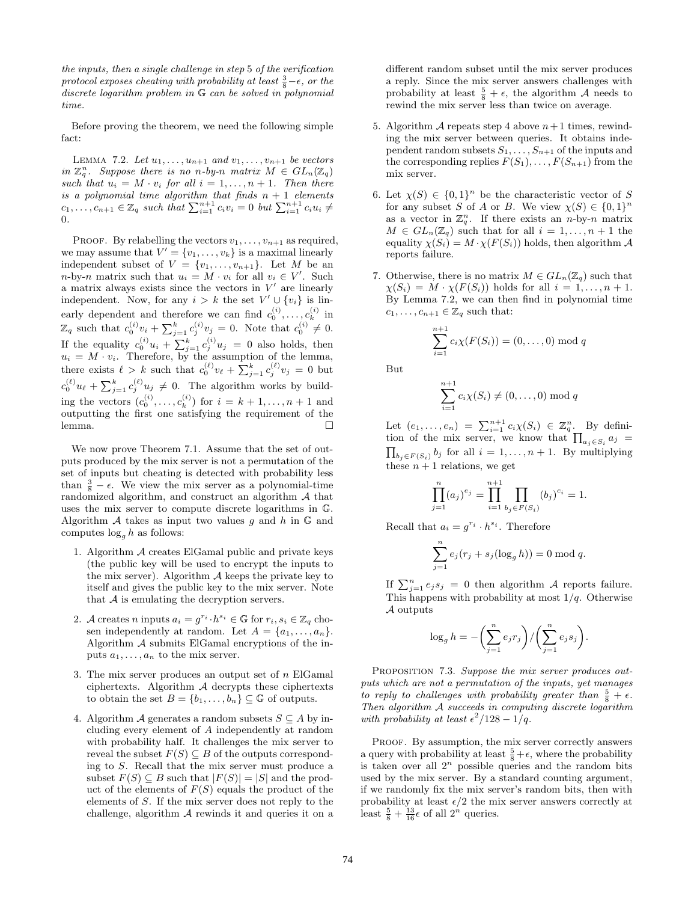the inputs, then a single challenge in step 5 of the verification protocol exposes cheating with probability at least  $\frac{3}{8} - \epsilon$ , or the discrete logarithm problem in  $\mathbb G$  can be solved in polynomial time.

Before proving the theorem, we need the following simple fact:

LEMMA 7.2. Let  $u_1, \ldots, u_{n+1}$  and  $v_1, \ldots, v_{n+1}$  be vectors in  $\mathbb{Z}_q^n$ . Suppose there is no n-by-n matrix  $M \in GL_n(\mathbb{Z}_q)$ such that  $u_i = M \cdot v_i$  for all  $i = 1, \ldots, n + 1$ . Then there is a polynomial time algorithm that finds  $n + 1$  elements  $c_1, \ldots, c_{n+1} \in \mathbb{Z}_q$  such that  $\sum_{i=1}^{n+1} c_i v_i = 0$  but  $\sum_{i=1}^{n+1} c_i u_i \neq 0$ 0.

PROOF. By relabelling the vectors  $v_1, \ldots, v_{n+1}$  as required, we may assume that  $V' = \{v_1, \ldots, v_k\}$  is a maximal linearly independent subset of  $V = \{v_1, \ldots, v_{n+1}\}.$  Let M be an *n*-by-*n* matrix such that  $u_i = M \cdot v_i$  for all  $v_i \in V'$ . Such a matrix always exists since the vectors in  $V'$  are linearly independent. Now, for any  $i > k$  the set  $V' \cup \{v_i\}$  is linearly dependent and therefore we can find  $c_0^{(i)}, \ldots, c_k^{(i)}$  in  $\mathbb{Z}_q$  such that  $c_0^{(i)}v_i + \sum_{j=1}^k c_j^{(i)}v_j = 0$ . Note that  $c_0^{(i)} \neq 0$ . If the equality  $c_0^{(i)}u_i + \sum_{j=1}^k c_j^{(i)}u_j = 0$  also holds, then  $u_i = M \cdot v_i$ . Therefore, by the assumption of the lemma, there exists  $\ell > k$  such that  $c_0^{(\ell)} v_{\ell} + \sum_{j=1}^k c_j^{(\ell)} v_j = 0$  but  $c_0^{(\ell)} u_{\ell} + \sum_{j=1}^k c_j^{(\ell)} u_j \neq 0$ . The algorithm works by build- $(\ell)$   $\longrightarrow$   $(k)$ ing the vectors  $(c_0^{(i)}, \ldots, c_k^{(i)})$  for  $i = k + 1, \ldots, n + 1$  and outputting the first one satisfying the requirement of the lemma.  $\Box$ 

We now prove Theorem 7.1. Assume that the set of outputs produced by the mix server is not a permutation of the set of inputs but cheating is detected with probability less than  $\frac{3}{8} - \epsilon$ . We view the mix server as a polynomial-time randomized algorithm, and construct an algorithm A that uses the mix server to compute discrete logarithms in G. Algorithm  $A$  takes as input two values  $g$  and  $h$  in  $\mathbb{G}$  and computes  $\log_q h$  as follows:

- 1. Algorithm A creates ElGamal public and private keys (the public key will be used to encrypt the inputs to the mix server). Algorithm  $A$  keeps the private key to itself and gives the public key to the mix server. Note that  $A$  is emulating the decryption servers.
- 2. A creates *n* inputs  $a_i = g^{r_i} \cdot h^{s_i} \in \mathbb{G}$  for  $r_i, s_i \in \mathbb{Z}_q$  chosen independently at random. Let  $A = \{a_1, \ldots, a_n\}.$ Algorithm A submits ElGamal encryptions of the inputs  $a_1, \ldots, a_n$  to the mix server.
- 3. The mix server produces an output set of  $n$  ElGamal ciphertexts. Algorithm  $A$  decrypts these ciphertexts to obtain the set  $B = \{b_1, \ldots, b_n\} \subseteq \mathbb{G}$  of outputs.
- 4. Algorithm A generates a random subsets  $S \subseteq A$  by including every element of A independently at random with probability half. It challenges the mix server to reveal the subset  $F(S) \subseteq B$  of the outputs corresponding to S. Recall that the mix server must produce a subset  $F(S) \subseteq B$  such that  $|F(S)| = |S|$  and the product of the elements of  $F(S)$  equals the product of the elements of S. If the mix server does not reply to the challenge, algorithm A rewinds it and queries it on a

different random subset until the mix server produces a reply. Since the mix server answers challenges with probability at least  $\frac{5}{8} + \epsilon$ , the algorithm A needs to rewind the mix server less than twice on average.

- 5. Algorithm A repeats step 4 above  $n+1$  times, rewinding the mix server between queries. It obtains independent random subsets  $S_1, \ldots, S_{n+1}$  of the inputs and the corresponding replies  $F(S_1), \ldots, F(S_{n+1})$  from the mix server.
- 6. Let  $\chi(S) \in \{0,1\}^n$  be the characteristic vector of S for any subset S of A or B. We view  $\chi(S) \in \{0,1\}^n$ as a vector in  $\mathbb{Z}_q^n$ . If there exists an *n*-by-*n* matrix  $M \in GL_n(\mathbb{Z}_q)$  such that for all  $i = 1, \ldots, n+1$  the equality  $\chi(S_i) = M \cdot \chi(F(S_i))$  holds, then algorithm  $\mathcal A$ reports failure.
- 7. Otherwise, there is no matrix  $M \in GL_n(\mathbb{Z}_q)$  such that  $\chi(S_i) = M \cdot \chi(F(S_i))$  holds for all  $i = 1, \ldots, n + 1$ . By Lemma 7.2, we can then find in polynomial time  $c_1, \ldots, c_{n+1} \in \mathbb{Z}_q$  such that:

$$
\sum_{i=1}^{n+1} c_i \chi(F(S_i)) = (0, ..., 0) \bmod q
$$

But

$$
\sum_{i=1}^{n+1} c_i \chi(S_i) \neq (0,\ldots,0) \bmod q
$$

Let  $(e_1,\ldots,e_n) = \sum_{i=1}^{n+1} c_i \chi(S_i) \in \mathbb{Z}_q^n$ . By definition of the mix server, we know that  $\prod_{a_j \in S_i} a_j =$  $\prod_{b_j \in F(S_i)} b_j$  for all  $i = 1, ..., n + 1$ . By multiplying these  $n + 1$  relations, we get

$$
\prod_{j=1}^{n} (a_j)^{e_j} = \prod_{i=1}^{n+1} \prod_{b_j \in F(S_i)} (b_j)^{c_i} = 1.
$$

Recall that  $a_i = g^{r_i} \cdot h^{s_i}$ . Therefore

$$
\sum_{j=1}^{n} e_j(r_j + s_j(\log_g h)) = 0 \mod q.
$$

If  $\sum_{j=1}^{n} e_j s_j = 0$  then algorithm A reports failure. This happens with probability at most  $1/q$ . Otherwise A outputs

$$
\log_g h = -\bigg(\sum_{j=1}^n e_j r_j\bigg) / \bigg(\sum_{j=1}^n e_j s_j\bigg).
$$

PROPOSITION 7.3. Suppose the mix server produces outputs which are not a permutation of the inputs, yet manages to reply to challenges with probability greater than  $\frac{5}{8} + \epsilon$ . Then algorithm A succeeds in computing discrete logarithm with probability at least  $\epsilon^2/128-1/q$ .

PROOF. By assumption, the mix server correctly answers a query with probability at least  $\frac{5}{8} + \epsilon$ , where the probability is taken over all  $2^n$  possible queries and the random bits used by the mix server. By a standard counting argument, if we randomly fix the mix server's random bits, then with probability at least  $\epsilon/2$  the mix server answers correctly at least  $\frac{5}{8} + \frac{13}{16} \epsilon$  of all  $2^n$  queries.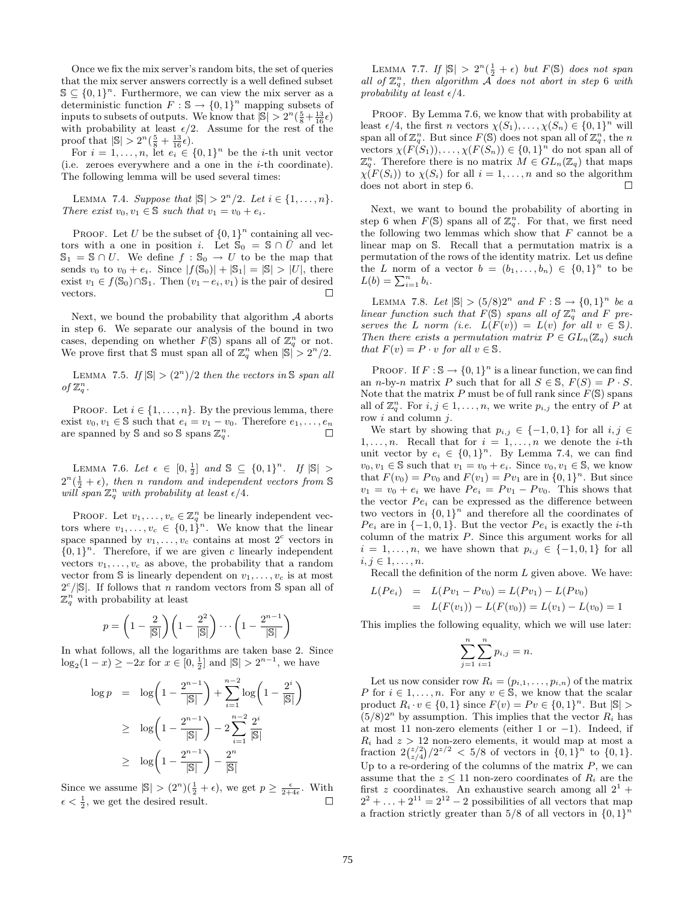Once we fix the mix server's random bits, the set of queries that the mix server answers correctly is a well defined subset  $\mathbb{S} \subseteq \{0,1\}^n$ . Furthermore, we can view the mix server as a deterministic function  $F : \mathbb{S} \to \{0,1\}^n$  mapping subsets of inputs to subsets of outputs. We know that  $|\mathbb{S}| > 2^n(\frac{5}{8} + \frac{13}{16}\epsilon)$ with probability at least  $\epsilon/2$ . Assume for the rest of the proof that  $|\$\biggeq 2^n(\frac{5}{8} + \frac{13}{16}\epsilon).$ 

For  $i = 1, \ldots, n$ , let  $e_i \in \{0, 1\}^n$  be the *i*-th unit vector (i.e. zeroes everywhere and a one in the  $i$ -th coordinate). The following lemma will be used several times:

LEMMA 7.4. Suppose that  $|\mathbb{S}| > 2^n/2$ . Let  $i \in \{1, ..., n\}$ . There exist  $v_0, v_1 \in \mathbb{S}$  such that  $v_1 = v_0 + e_i$ .

PROOF. Let U be the subset of  $\{0,1\}^n$  containing all vectors with a one in position i. Let  $\mathbb{S}_0 = \mathbb{S} \cap \overline{U}$  and let  $\mathbb{S}_1 = \mathbb{S} \cap U$ . We define  $f : \mathbb{S}_0 \to U$  to be the map that sends  $v_0$  to  $v_0 + e_i$ . Since  $|f(\mathbb{S}_0)| + |\mathbb{S}_1| = |\mathbb{S}| > |U|$ , there exist  $v_1 \in f(\mathbb{S}_0) \cap \mathbb{S}_1$ . Then  $(v_1 - e_i, v_1)$  is the pair of desired vectors.  $□$ vectors.  $\Box$ 

Next, we bound the probability that algorithm  $A$  aborts in step 6. We separate our analysis of the bound in two cases, depending on whether  $F(\mathbb{S})$  spans all of  $\mathbb{Z}_q^n$  or not. We prove first that S must span all of  $\mathbb{Z}_q^n$  when  $|\mathbb{S}| > 2^n/2$ .

LEMMA 7.5. If  $|\mathbb{S}| > (2^n)/2$  then the vectors in S span all of  $\mathbb{Z}_q^n$ .

PROOF. Let  $i \in \{1, \ldots, n\}$ . By the previous lemma, there exist  $v_0, v_1 \in \mathbb{S}$  such that  $e_i = v_1 - v_0$ . Therefore  $e_1, \ldots, e_n$  are spanned by  $\mathbb{S}$  and so  $\mathbb{S}$  spans  $\mathbb{Z}_n^n$ . are spanned by S and so S spans  $\mathbb{Z}_q^n$  $\bigcap_{q}$ .

LEMMA 7.6. Let  $\epsilon \in [0, \frac{1}{2}]$  and  $\mathbb{S} \subseteq \{0, 1\}^n$ . If  $|\mathbb{S}| >$  $2^{n}(\frac{1}{2} + \epsilon)$ , then n random and independent vectors from S will span  $\mathbb{Z}_q^n$  with probability at least  $\epsilon/4$ .

PROOF. Let  $v_1, \ldots, v_c \in \mathbb{Z}_q^n$  be linearly independent vectors where  $v_1, \ldots, v_c \in \{0,1\}^n$ . We know that the linear space spanned by  $v_1, \ldots, v_c$  contains at most  $2^c$  vectors in  ${0,1}^n$ . Therefore, if we are given c linearly independent vectors  $v_1, \ldots, v_c$  as above, the probability that a random vector from  $\mathbb S$  is linearly dependent on  $v_1, \ldots, v_c$  is at most  $2^{c}/\mathcal{S}$ . If follows that *n* random vectors from *S* span all of  $\mathbb{Z}_q^n$  with probability at least

$$
p = \left(1 - \frac{2}{|\mathbb{S}|}\right) \left(1 - \frac{2^2}{|\mathbb{S}|}\right) \cdots \left(1 - \frac{2^{n-1}}{|\mathbb{S}|}\right)
$$

In what follows, all the logarithms are taken base 2. Since  $\log_2(1-x) \ge -2x$  for  $x \in [0, \frac{1}{2}]$  and  $|\mathbb{S}| > 2^{n-1}$ , we have

$$
\log p = \log \left( 1 - \frac{2^{n-1}}{|\mathbb{S}|} \right) + \sum_{i=1}^{n-2} \log \left( 1 - \frac{2^i}{|\mathbb{S}|} \right)
$$
  
\n
$$
\geq \log \left( 1 - \frac{2^{n-1}}{|\mathbb{S}|} \right) - 2 \sum_{i=1}^{n-2} \frac{2^i}{|\mathbb{S}|}
$$
  
\n
$$
\geq \log \left( 1 - \frac{2^{n-1}}{|\mathbb{S}|} \right) - \frac{2^n}{|\mathbb{S}|}
$$

Since we assume  $|\mathbb{S}| > (2^n)(\frac{1}{2} + \epsilon)$ , we get  $p \ge \frac{\epsilon}{2+4\epsilon}$ . With  $\epsilon < \frac{1}{2}$ , we get the desired result.

LEMMA 7.7. If  $|\mathbb{S}| > 2^n(\frac{1}{2} + \epsilon)$  but  $F(\mathbb{S})$  does not span all of  $\mathbb{Z}_q^n$ , then algorithm  $\mathcal A$  does not abort in step 6 with probability at least  $\epsilon/4$ .

PROOF. By Lemma 7.6, we know that with probability at least  $\epsilon/4$ , the first n vectors  $\chi(S_1), \ldots, \chi(S_n) \in \{0,1\}^n$  will span all of  $\mathbb{Z}_q^n$ . But since  $F(\mathbb{S})$  does not span all of  $\mathbb{Z}_q^n$ , the n vectors  $\chi(F(S_1)), \ldots, \chi(F(S_n)) \in \{0,1\}^n$  do not span all of  $\mathbb{Z}_q^n$ . Therefore there is no matrix  $M \in GL_n(\mathbb{Z}_q)$  that maps  $\chi(F(S_i))$  to  $\chi(S_i)$  for all  $i = 1, \ldots, n$  and so the algorithm does not abort in step 6.

Next, we want to bound the probability of aborting in step 6 when  $F(\mathbb{S})$  spans all of  $\mathbb{Z}_q^n$ . For that, we first need the following two lemmas which show that  $F$  cannot be a linear map on S. Recall that a permutation matrix is a permutation of the rows of the identity matrix. Let us define the L norm of a vector  $b = (b_1, \ldots, b_n) \in \{0,1\}^n$  to be  $L(b) = \sum_{i=1}^{n} b_i$ .

LEMMA 7.8. Let  $|\mathbb{S}| > (5/8)2^n$  and  $F : \mathbb{S} \to \{0,1\}^n$  be a linear function such that  $F(\mathbb{S})$  spans all of  $\mathbb{Z}_q^n$  and F preserves the L norm (i.e.  $L(F(v)) = L(v)$  for all  $v \in \mathbb{S}$ ). Then there exists a permutation matrix  $P \in GL_n(\mathbb{Z}_q)$  such that  $F(v) = P \cdot v$  for all  $v \in \mathbb{S}$ .

PROOF. If  $F : \mathbb{S} \to \{0,1\}^n$  is a linear function, we can find an *n*-by-*n* matrix P such that for all  $S \in \mathcal{S}$ ,  $F(S) = P \cdot S$ . Note that the matrix P must be of full rank since  $F(\mathbb{S})$  spans all of  $\mathbb{Z}_q^n$ . For  $i, j \in 1, \ldots, n$ , we write  $p_{i,j}$  the entry of P at row  $i$  and column  $j$ .

We start by showing that  $p_{i,j} \in \{-1,0,1\}$  for all  $i,j \in$  $1, \ldots, n$ . Recall that for  $i = 1, \ldots, n$  we denote the *i*-th unit vector by  $e_i \in \{0,1\}^n$ . By Lemma 7.4, we can find  $v_0, v_1 \in \mathbb{S}$  such that  $v_1 = v_0 + e_i$ . Since  $v_0, v_1 \in \mathbb{S}$ , we know that  $F(v_0) = Pv_0$  and  $F(v_1) = Pv_1$  are in  $\{0, 1\}^n$ . But since  $v_1 = v_0 + e_i$  we have  $Pe_i = Pv_1 - Pv_0$ . This shows that the vector  $Pe<sub>i</sub>$  can be expressed as the difference between two vectors in  ${0,1}^n$  and therefore all the coordinates of  $Pe_i$  are in  $\{-1, 0, 1\}$ . But the vector  $Pe_i$  is exactly the *i*-th column of the matrix P. Since this argument works for all  $i = 1, \ldots, n$ , we have shown that  $p_{i,j} \in \{-1, 0, 1\}$  for all  $i, j \in 1, \ldots, n$ .

Recall the definition of the norm  $L$  given above. We have:

$$
L(Pe_i) = L(Pv_1 - Pv_0) = L(Pv_1) - L(Pv_0)
$$
  
=  $L(F(v_1)) - L(F(v_0)) = L(v_1) - L(v_0) = 1$ 

This implies the following equality, which we will use later:

$$
\sum_{j=1}^n \sum_{i=1}^n p_{i,j} = n.
$$

Let us now consider row  $R_i = (p_{i,1}, \ldots, p_{i,n})$  of the matrix P for  $i \in 1, \ldots, n$ . For any  $v \in \mathbb{S}$ , we know that the scalar product  $R_i \cdot v \in \{0, 1\}$  since  $F(v) = Pv \in \{0, 1\}^n$ . But  $|\mathbb{S}| >$  $(5/8)2^n$  by assumption. This implies that the vector  $R_i$  has at most 11 non-zero elements (either 1 or −1). Indeed, if  $R_i$  had  $z > 12$  non-zero elements, it would map at most a fraction  $2\binom{z/2}{z/4}/2^{z/2} < 5/8$  of vectors in  $\{0,1\}^n$  to  $\{0,1\}$ . Up to a re-ordering of the columns of the matrix  $P$ , we can assume that the  $z \leq 11$  non-zero coordinates of  $R_i$  are the first z coordinates. An exhaustive search among all  $2^1$  +  $2^2 + \ldots + 2^{11} = 2^{12} - 2$  possibilities of all vectors that map a fraction strictly greater than 5/8 of all vectors in  ${0,1}^n$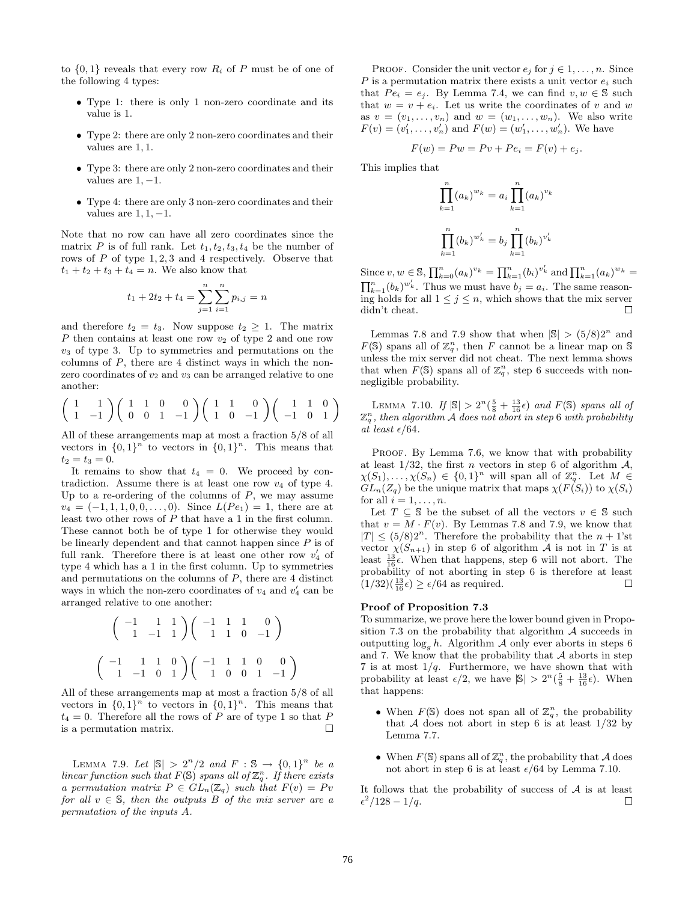to  $\{0,1\}$  reveals that every row  $R_i$  of P must be of one of the following 4 types:

- Type 1: there is only 1 non-zero coordinate and its value is 1.
- Type 2: there are only 2 non-zero coordinates and their values are 1, 1.
- Type 3: there are only 2 non-zero coordinates and their values are  $1, -1$ .
- Type 4: there are only 3 non-zero coordinates and their values are  $1, 1, -1$ .

Note that no row can have all zero coordinates since the matrix P is of full rank. Let  $t_1, t_2, t_3, t_4$  be the number of rows of  $P$  of type 1, 2, 3 and 4 respectively. Observe that  $t_1 + t_2 + t_3 + t_4 = n$ . We also know that

$$
t_1 + 2t_2 + t_4 = \sum_{j=1}^{n} \sum_{i=1}^{n} p_{i,j} = n
$$

and therefore  $t_2 = t_3$ . Now suppose  $t_2 \geq 1$ . The matrix P then contains at least one row  $v_2$  of type 2 and one row  $v_3$  of type 3. Up to symmetries and permutations on the columns of  $P$ , there are 4 distinct ways in which the nonzero coordinates of  $v_2$  and  $v_3$  can be arranged relative to one another:

$$
\left(\begin{array}{rrr}1 & 1 \\ 1 & -1\end{array}\right)\left(\begin{array}{rrr}1 & 1 & 0 & 0 \\ 0 & 0 & 1 & -1\end{array}\right)\left(\begin{array}{rrr}1 & 1 & 0 \\ 1 & 0 & -1\end{array}\right)\left(\begin{array}{rrr}1 & 1 & 0 \\ -1 & 0 & 1\end{array}\right)
$$

All of these arrangements map at most a fraction 5/8 of all vectors in  ${0,1}^n$  to vectors in  ${0,1}^n$ . This means that  $t_2 = t_3 = 0.$ 

It remains to show that  $t_4 = 0$ . We proceed by contradiction. Assume there is at least one row  $v_4$  of type 4. Up to a re-ordering of the columns of  $P$ , we may assume  $v_4 = (-1, 1, 1, 0, 0, \ldots, 0)$ . Since  $L(Pe_1) = 1$ , there are at least two other rows of P that have a 1 in the first column. These cannot both be of type 1 for otherwise they would be linearly dependent and that cannot happen since  $P$  is of full rank. Therefore there is at least one other row  $v_4$  of type 4 which has a 1 in the first column. Up to symmetries and permutations on the columns of  $P$ , there are 4 distinct ways in which the non-zero coordinates of  $v_4$  and  $v'_4$  can be arranged relative to one another:

$$
\begin{pmatrix} -1 & 1 & 1 \ 1 & -1 & 1 \end{pmatrix} \begin{pmatrix} -1 & 1 & 1 & 0 \ 1 & 1 & 0 & -1 \end{pmatrix}
$$

$$
\begin{pmatrix} -1 & 1 & 1 & 0 \ 1 & -1 & 0 & 1 \end{pmatrix} \begin{pmatrix} -1 & 1 & 1 & 0 & 0 \ 1 & 0 & 0 & 1 & -1 \end{pmatrix}
$$

All of these arrangements map at most a fraction 5/8 of all vectors in  $\{0,1\}^n$  to vectors in  $\{0,1\}^n$ . This means that  $t_4 = 0$ . Therefore all the rows of P are of type 1 so that P is a permutation matrix.

LEMMA 7.9. Let  $|\mathbb{S}| > 2^n/2$  and  $F : \mathbb{S} \to \{0,1\}^n$  be a linear function such that  $F(\mathbb{S})$  spans all of  $\mathbb{Z}_q^n$ . If there exists a permutation matrix  $P \in GL_n(\mathbb{Z}_q)$  such that  $F(v) = Pv$ for all  $v \in \mathbb{S}$ , then the outputs B of the mix server are a permutation of the inputs A.

PROOF. Consider the unit vector  $e_j$  for  $j \in 1, \ldots, n$ . Since  $P$  is a permutation matrix there exists a unit vector  $e_i$  such that  $Pe_i = e_j$ . By Lemma 7.4, we can find  $v, w \in \mathbb{S}$  such that  $w = v + e_i$ . Let us write the coordinates of v and w as  $v = (v_1, \ldots, v_n)$  and  $w = (w_1, \ldots, w_n)$ . We also write  $F(v) = (v'_1, \ldots, v'_n)$  and  $F(w) = (w'_1, \ldots, w'_n)$ . We have

$$
F(w) = Pw = Pv + Pei = F(v) + ej.
$$

This implies that

$$
\prod_{k=1}^{n} (a_k)^{w_k} = a_i \prod_{k=1}^{n} (a_k)^{v_k}
$$

$$
\prod_{k=1}^{n} (b_k)^{w'_k} = b_j \prod_{k=1}^{n} (b_k)^{v'_k}
$$

Since  $v, w \in \mathbb{S}, \prod_{k=0}^{n} (a_k)^{v_k} = \prod_{k=1}^{n} (b_i)^{v'_k}$  and  $\prod_{k=1}^{n} (a_k)^{w_k} =$  $\prod_{k=1}^{n} (b_k)^{w'_k}$ . Thus we must have  $b_j = a_i$ . The same reasoning holds for all  $1 \leq j \leq n$ , which shows that the mix server didn't cheat.  $\hfill \Box$ 

Lemmas 7.8 and 7.9 show that when  $|\mathbb{S}| > (5/8)2^n$  and  $F(\mathbb{S})$  spans all of  $\mathbb{Z}_q^n$ , then F cannot be a linear map on  $\mathbb{S}$ unless the mix server did not cheat. The next lemma shows that when  $F(\mathbb{S})$  spans all of  $\mathbb{Z}_q^n$ , step 6 succeeds with nonnegligible probability.

LEMMA 7.10. If  $|\mathbb{S}| > 2^n(\frac{5}{8} + \frac{13}{16}\epsilon)$  and  $F(\mathbb{S})$  spans all of  $\mathbb{Z}_q^n$ , then algorithm A does not abort in step 6 with probability at least  $\epsilon$ /64.

PROOF. By Lemma 7.6, we know that with probability at least  $1/32$ , the first *n* vectors in step 6 of algorithm  $\mathcal{A}$ ,  $\chi(S_1), \ldots, \chi(S_n) \in \{0,1\}^n$  will span all of  $\mathbb{Z}_q^n$ . Let  $M \in$  $GL_n(Z_q)$  be the unique matrix that maps  $\chi(F(S_i))$  to  $\chi(S_i)$ for all  $i = 1, \ldots, n$ .

Let  $T \subseteq \mathbb{S}$  be the subset of all the vectors  $v \in \mathbb{S}$  such that  $v = M \cdot F(v)$ . By Lemmas 7.8 and 7.9, we know that  $|T| \leq (5/8)2^{n}$ . Therefore the probability that the  $n + 1$ 'st vector  $\chi(S_{n+1})$  in step 6 of algorithm A is not in T is at least  $\frac{13}{16}\epsilon$ . When that happens, step 6 will not abort. The probability of not aborting in step 6 is therefore at least  $(1/32)(\frac{13}{16}\epsilon) \ge \epsilon/64$  as required.

#### Proof of Proposition 7.3

To summarize, we prove here the lower bound given in Proposition 7.3 on the probability that algorithm A succeeds in outputting  $\log_g h$ . Algorithm A only ever aborts in steps 6 and 7. We know that the probability that  $A$  aborts in step 7 is at most  $1/q$ . Furthermore, we have shown that with probability at least  $\epsilon/2$ , we have  $|\mathbb{S}| > 2^n(\frac{5}{8} + \frac{13}{16}\epsilon)$ . When that happens:

- When  $F(\mathbb{S})$  does not span all of  $\mathbb{Z}_q^n$ , the probability that A does not abort in step 6 is at least  $1/32$  by Lemma 7.7.
- When  $F(\mathbb{S})$  spans all of  $\mathbb{Z}_q^n$ , the probability that A does not abort in step 6 is at least  $\epsilon/64$  by Lemma 7.10.

It follows that the probability of success of  $A$  is at least  $\epsilon^2/128 - 1/q$ . □